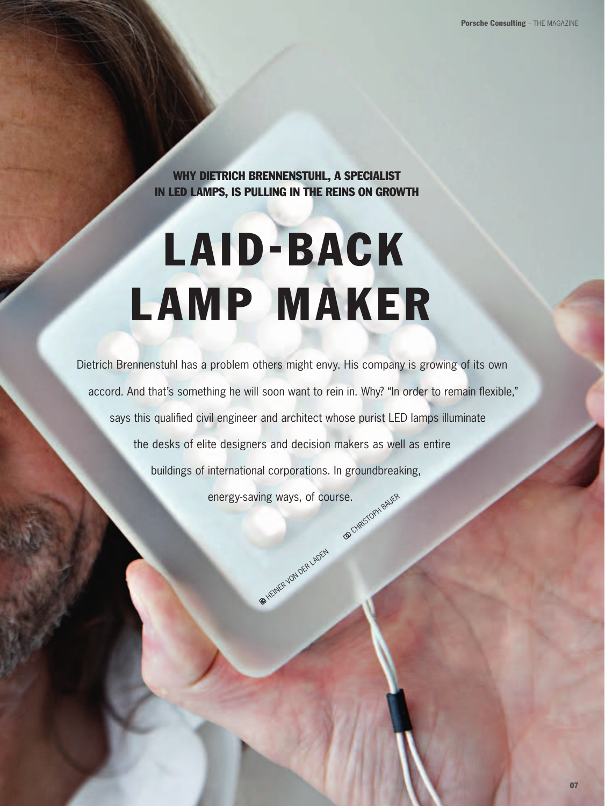Why Dietrich Brennenstuhl, a specialist in LED lamps, is pulling in the reins on growth

## Laid-Back Lamp Maker

Dietrich Brennenstuhl has a problem others might envy. His company is growing of its own accord. And that's something he will soon want to rein in. Why? "In order to remain flexible," says this qualified civil engineer and architect whose purist LED lamps illuminate the desks of elite designers and decision makers as well as entire buildings of international corporations. In groundbreaking, energy-saving ways, of course.

**ER HEINER VON DER LADER**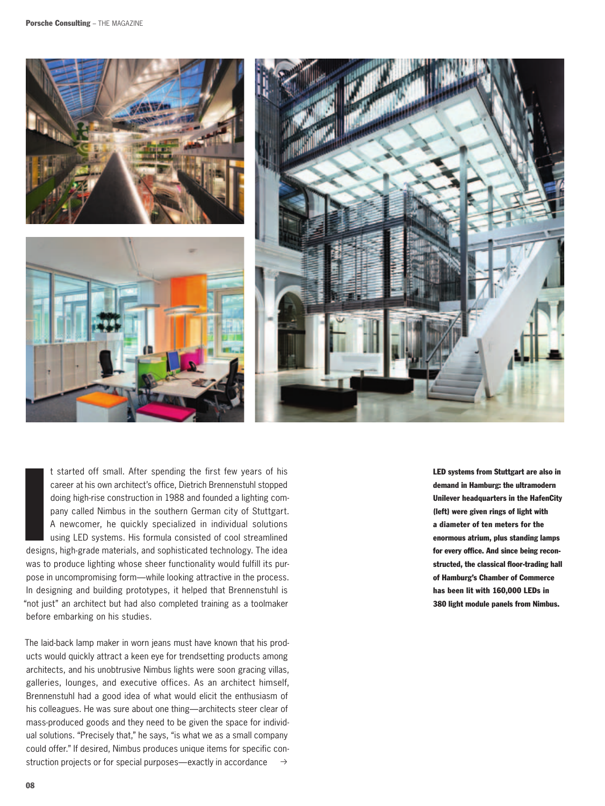

I<br>I<br>I<br>I<br>I<br>I<br>I<br>I t started off small. After spending the first few years of his career at his own architect's office, Dietrich Brennenstuhl stopped doing high-rise construction in 1988 and founded a lighting company called Nimbus in the southern German city of Stuttgart. A newcomer, he quickly specialized in individual solutions using LED systems. His formula consisted of cool streamlined designs, high-grade materials, and sophisticated technology. The idea was to produce lighting whose sheer functionality would fulfill its purpose in uncompromising form—while looking attractive in the process. In designing and building prototypes, it helped that Brennenstuhl is "not just" an architect but had also completed training as a toolmaker before embarking on his studies.

 $\rightarrow$ The laid-back lamp maker in worn jeans must have known that his products would quickly attract a keen eye for trendsetting products among architects, and his unobtrusive Nimbus lights were soon gracing villas, galleries, lounges, and executive offices. As an architect himself, Brennenstuhl had a good idea of what would elicit the enthusiasm of his colleagues. He was sure about one thing—architects steer clear of mass-produced goods and they need to be given the space for individual solutions. "Precisely that," he says, "is what we as a small company could offer." If desired, Nimbus produces unique items for specific construction projects or for special purposes—exactly in accordance

LED systems from Stuttgart are also in demand in Hamburg: the ultramodern Unilever headquarters in the HafenCity (left) were given rings of light with a diameter of ten meters for the enormous atrium, plus standing lamps for every office. And since being reconstructed, the classical floor-trading hall of Hamburg's Chamber of Commerce has been lit with 160,000 LEDs in 380 light module panels from Nimbus.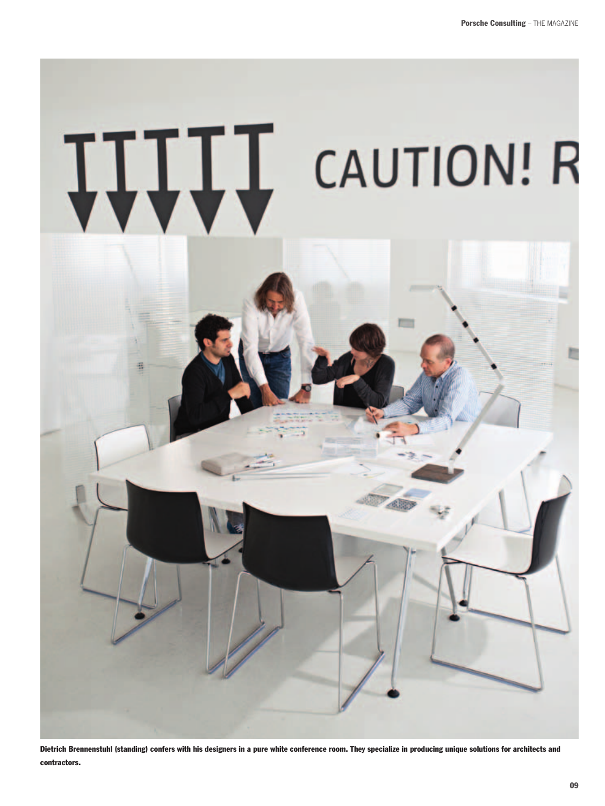## **ITILL** CAUTION! R



Dietrich Brennenstuhl (standing) confers with his designers in a pure white conference room. They specialize in producing unique solutions for architects and contractors.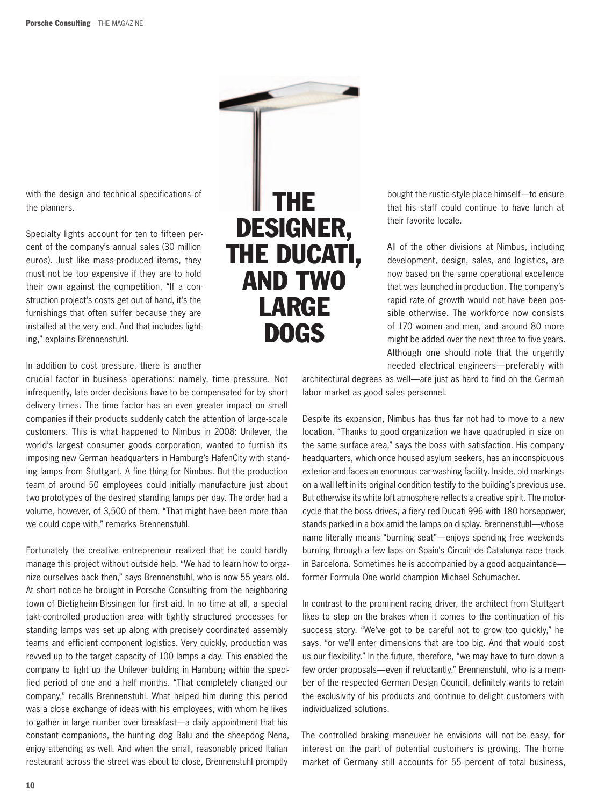

with the design and technical specifications of the planners.

Specialty lights account for ten to fifteen percent of the company's annual sales (30 million euros). Just like mass-produced items, they must not be too expensive if they are to hold their own against the competition. "If a construction project's costs get out of hand, it's the furnishings that often suffer because they are installed at the very end. And that includes lighting," explains Brennenstuhl.

In addition to cost pressure, there is another

crucial factor in business operations: namely, time pressure. Not infrequently, late order decisions have to be compensated for by short delivery times. The time factor has an even greater impact on small companies if their products suddenly catch the attention of large-scale customers. This is what happened to Nimbus in 2008: Unilever, the world's largest consumer goods corporation, wanted to furnish its imposing new German headquarters in Hamburg's HafenCity with standing lamps from Stuttgart. A fine thing for Nimbus. But the production team of around 50 employees could initially manufacture just about two prototypes of the desired standing lamps per day. The order had a volume, however, of 3,500 of them. "That might have been more than we could cope with," remarks Brennenstuhl.

Fortunately the creative entrepreneur realized that he could hardly manage this project without outside help. "We had to learn how to organize ourselves back then," says Brennenstuhl, who is now 55 years old. At short notice he brought in Porsche Consulting from the neighboring town of Bietigheim-Bissingen for first aid. In no time at all, a special takt-controlled production area with tightly structured processes for standing lamps was set up along with precisely coordinated assembly teams and efficient component logistics. Very quickly, production was revved up to the target capacity of 100 lamps a day. This enabled the company to light up the Unilever building in Hamburg within the specified period of one and a half months. "That completely changed our company," recalls Brennenstuhl. What helped him during this period was a close exchange of ideas with his employees, with whom he likes to gather in large number over breakfast—a daily appointment that his constant companions, the hunting dog Balu and the sheepdog Nena, enjoy attending as well. And when the small, reasonably priced Italian restaurant across the street was about to close, Brennenstuhl promptly

bought the rustic-style place himself—to ensure that his staff could continue to have lunch at their favorite locale.

All of the other divisions at Nimbus, including development, design, sales, and logistics, are now based on the same operational excellence that was launched in production. The company's rapid rate of growth would not have been possible otherwise. The workforce now consists of 170 women and men, and around 80 more might be added over the next three to five years. Although one should note that the urgently needed electrical engineers—preferably with

architectural degrees as well—are just as hard to find on the German labor market as good sales personnel.

Despite its expansion, Nimbus has thus far not had to move to a new location. "Thanks to good organization we have quadrupled in size on the same surface area," says the boss with satisfaction. His company headquarters, which once housed asylum seekers, has an inconspicuous exterior and faces an enormous car-washing facility. Inside, old markings on a wall left in its original condition testify to the building's previous use. But otherwise its white loft atmosphere reflects a creative spirit. The motorcycle that the boss drives, a fiery red Ducati 996 with 180 horsepower, stands parked in a box amid the lamps on display. Brennenstuhl—whose name literally means "burning seat"—enjoys spending free weekends burning through a few laps on Spain's Circuit de Catalunya race track in Barcelona. Sometimes he is accompanied by a good acquaintance former Formula One world champion Michael Schumacher.

In contrast to the prominent racing driver, the architect from Stuttgart likes to step on the brakes when it comes to the continuation of his success story. "We've got to be careful not to grow too quickly," he says, "or we'll enter dimensions that are too big. And that would cost us our flexibility." In the future, therefore, "we may have to turn down a few order proposals—even if reluctantly." Brennenstuhl, who is a member of the respected German Design Council, definitely wants to retain the exclusivity of his products and continue to delight customers with individualized solutions.

The controlled braking maneuver he envisions will not be easy, for interest on the part of potential customers is growing. The home market of Germany still accounts for 55 percent of total business,